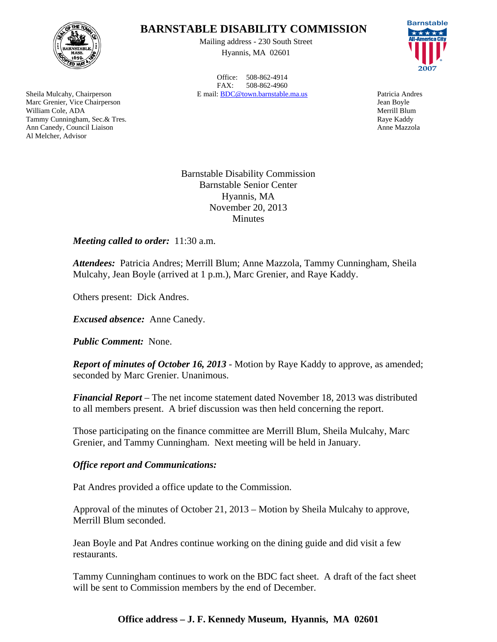

Sheila Mulcahy, Chairperson Marc Grenier, Vice Chairperson

Tammy Cunningham, Sec.& Tres. Ann Canedy, Council Liaison

William Cole, ADA

Al Melcher, Advisor

# **BARNSTABLE DISABILITY COMMISSION**

Mailing address - 230 South Street Hyannis, MA 02601

Office: 508-862-4914 FAX: 508-862-4960 E mail: BDC@town.barnstable.ma.us Patricia Andres

Barnstable \*\*\*\*\* **2007**

Jean Boyle Merrill Blum Raye Kaddy Anne Mazzola

Barnstable Disability Commission Barnstable Senior Center Hyannis, MA November 20, 2013 **Minutes** 

*Meeting called to order:* 11:30 a.m.

*Attendees:* Patricia Andres; Merrill Blum; Anne Mazzola, Tammy Cunningham, Sheila Mulcahy, Jean Boyle (arrived at 1 p.m.), Marc Grenier, and Raye Kaddy.

Others present: Dick Andres.

*Excused absence:* Anne Canedy.

*Public Comment:* None.

*Report of minutes of October 16, 2013* - Motion by Raye Kaddy to approve, as amended; seconded by Marc Grenier. Unanimous.

*Financial Report* – The net income statement dated November 18, 2013 was distributed to all members present. A brief discussion was then held concerning the report.

Those participating on the finance committee are Merrill Blum, Sheila Mulcahy, Marc Grenier, and Tammy Cunningham. Next meeting will be held in January.

## *Office report and Communications:*

Pat Andres provided a office update to the Commission.

Approval of the minutes of October 21, 2013 – Motion by Sheila Mulcahy to approve, Merrill Blum seconded.

Jean Boyle and Pat Andres continue working on the dining guide and did visit a few restaurants.

Tammy Cunningham continues to work on the BDC fact sheet. A draft of the fact sheet will be sent to Commission members by the end of December.